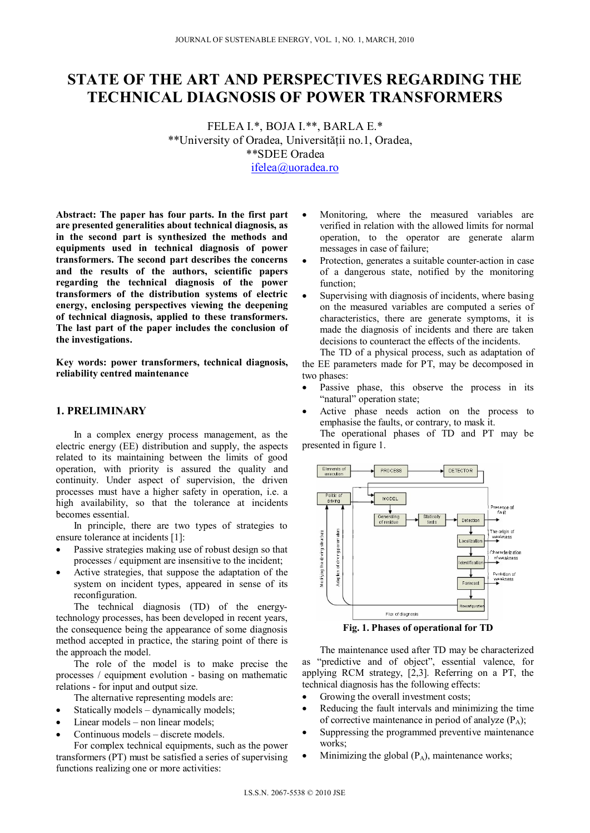# **STATE OF THE ART AND PERSPECTIVES REGARDING THE TECHNICAL DIAGNOSIS OF POWER TRANSFORMERS**

FELEA I.\*, BOJA I.\*\*, BARLA E.\* \*\*University of Oradea, Universităţii no.1, Oradea, \*\*SDEE Oradea ifelea@uoradea.ro

**Abstract: The paper has four parts. In the first part are presented generalities about technical diagnosis, as in the second part is synthesized the methods and equipments used in technical diagnosis of power transformers. The second part describes the concerns and the results of the authors, scientific papers regarding the technical diagnosis of the power transformers of the distribution systems of electric energy, enclosing perspectives viewing the deepening of technical diagnosis, applied to these transformers. The last part of the paper includes the conclusion of the investigations.** 

**Key words: power transformers, technical diagnosis, reliability centred maintenance** 

### **1. PRELIMINARY**

In a complex energy process management, as the electric energy (EE) distribution and supply, the aspects related to its maintaining between the limits of good operation, with priority is assured the quality and continuity. Under aspect of supervision, the driven processes must have a higher safety in operation, i.e. a high availability, so that the tolerance at incidents becomes essential.

In principle, there are two types of strategies to ensure tolerance at incidents [1]:

- Passive strategies making use of robust design so that processes / equipment are insensitive to the incident;
- Active strategies, that suppose the adaptation of the system on incident types, appeared in sense of its reconfiguration.

The technical diagnosis (TD) of the energytechnology processes, has been developed in recent years, the consequence being the appearance of some diagnosis method accepted in practice, the staring point of there is the approach the model.

The role of the model is to make precise the processes / equipment evolution - basing on mathematic relations - for input and output size.

- The alternative representing models are:
- Statically models dynamically models;
- Linear models non linear models;
- Continuous models discrete models.

For complex technical equipments, such as the power transformers (PT) must be satisfied a series of supervising functions realizing one or more activities:

- Monitoring, where the measured variables are verified in relation with the allowed limits for normal operation, to the operator are generate alarm messages in case of failure;
- Protection, generates a suitable counter-action in case of a dangerous state, notified by the monitoring function;
- Supervising with diagnosis of incidents, where basing on the measured variables are computed a series of characteristics, there are generate symptoms, it is made the diagnosis of incidents and there are taken decisions to counteract the effects of the incidents.

The TD of a physical process, such as adaptation of the EE parameters made for PT, may be decomposed in two phases:

- Passive phase, this observe the process in its "natural" operation state;
- Active phase needs action on the process to emphasise the faults, or contrary, to mask it.

The operational phases of TD and PT may be presented in figure 1.



**Fig. 1. Phases of operational for TD** 

The maintenance used after TD may be characterized as "predictive and of object", essential valence, for applying RCM strategy, [2,3]. Referring on a PT, the technical diagnosis has the following effects:

- Growing the overall investment costs;
- Reducing the fault intervals and minimizing the time of corrective maintenance in period of analyze  $(P_A)$ ;
- Suppressing the programmed preventive maintenance works;
- Minimizing the global  $(P_A)$ , maintenance works;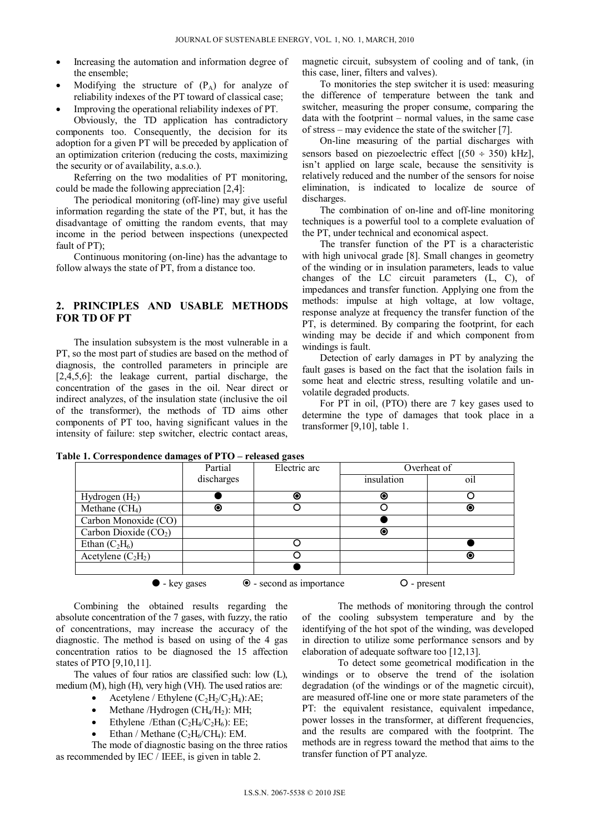- Increasing the automation and information degree of the ensemble;
- Modifying the structure of  $(P_A)$  for analyze of reliability indexes of the PT toward of classical case;
- Improving the operational reliability indexes of PT.

Obviously, the TD application has contradictory components too. Consequently, the decision for its adoption for a given PT will be preceded by application of an optimization criterion (reducing the costs, maximizing the security or of availability, a.s.o.).

Referring on the two modalities of PT monitoring, could be made the following appreciation [2,4]:

The periodical monitoring (off-line) may give useful information regarding the state of the PT, but, it has the disadvantage of omitting the random events, that may income in the period between inspections (unexpected fault of PT);

Continuous monitoring (on-line) has the advantage to follow always the state of PT, from a distance too.

# **2. PRINCIPLES AND USABLE METHODS FOR TD OF PT**

The insulation subsystem is the most vulnerable in a PT, so the most part of studies are based on the method of diagnosis, the controlled parameters in principle are [2,4,5,6]: the leakage current, partial discharge, the concentration of the gases in the oil. Near direct or indirect analyzes, of the insulation state (inclusive the oil of the transformer), the methods of TD aims other components of PT too, having significant values in the intensity of failure: step switcher, electric contact areas,

magnetic circuit, subsystem of cooling and of tank, (in this case, liner, filters and valves).

To monitories the step switcher it is used: measuring the difference of temperature between the tank and switcher, measuring the proper consume, comparing the data with the footprint – normal values, in the same case of stress – may evidence the state of the switcher [7].

On-line measuring of the partial discharges with sensors based on piezoelectric effect  $[(50 \div 350) \text{ kHz}]$ , isn't applied on large scale, because the sensitivity is relatively reduced and the number of the sensors for noise elimination, is indicated to localize de source of discharges.

The combination of on-line and off-line monitoring techniques is a powerful tool to a complete evaluation of the PT, under technical and economical aspect.

The transfer function of the PT is a characteristic with high univocal grade [8]. Small changes in geometry of the winding or in insulation parameters, leads to value changes of the LC circuit parameters (L, C), of impedances and transfer function. Applying one from the methods: impulse at high voltage, at low voltage, response analyze at frequency the transfer function of the PT, is determined. By comparing the footprint, for each winding may be decide if and which component from windings is fault.

Detection of early damages in PT by analyzing the fault gases is based on the fact that the isolation fails in some heat and electric stress, resulting volatile and unvolatile degraded products.

For PT in oil, (PTO) there are 7 key gases used to determine the type of damages that took place in a transformer [9,10], table 1.

**Table 1. Correspondence damages of PTO – released gases** 

|                        | Partial    | Electric arc | Overheat of |     |
|------------------------|------------|--------------|-------------|-----|
|                        | discharges |              | insulation  | 01l |
| Hydrogen $(H2)$        |            | ◉            | ◉           |     |
| Methane $(CH_4)$       | ◉          |              |             | ◉   |
| Carbon Monoxide (CO)   |            |              |             |     |
| Carbon Dioxide $(CO2)$ |            |              | ◉           |     |
| Ethan $(C_2H_6)$       |            |              |             |     |
| Acetylene $(C_2H_2)$   |            |              |             | ◉   |
|                        |            |              |             |     |

• key gases • • • second as importance **O** - present

Combining the obtained results regarding the absolute concentration of the 7 gases, with fuzzy, the ratio of concentrations, may increase the accuracy of the diagnostic. The method is based on using of the 4 gas concentration ratios to be diagnosed the 15 affection states of PTO [9,10,11].

The values of four ratios are classified such: low (L), medium (M), high (H), very high (VH). The used ratios are:

- Acetylene / Ethylene  $(C_2H_2/C_2H_4)$ : AE;
- Methane /Hydrogen  $(CH_4/H_2)$ : MH;
- Ethylene /Ethan  $(C_2H_4/C_2H_6)$ : EE;
- Ethan / Methane  $(C_2H_6/CH_4)$ : EM.

The mode of diagnostic basing on the three ratios as recommended by IEC / IEEE, is given in table 2.

The methods of monitoring through the control of the cooling subsystem temperature and by the identifying of the hot spot of the winding, was developed in direction to utilize some performance sensors and by elaboration of adequate software too [12,13].

To detect some geometrical modification in the windings or to observe the trend of the isolation degradation (of the windings or of the magnetic circuit), are measured off-line one or more state parameters of the PT: the equivalent resistance, equivalent impedance, power losses in the transformer, at different frequencies, and the results are compared with the footprint. The methods are in regress toward the method that aims to the transfer function of PT analyze.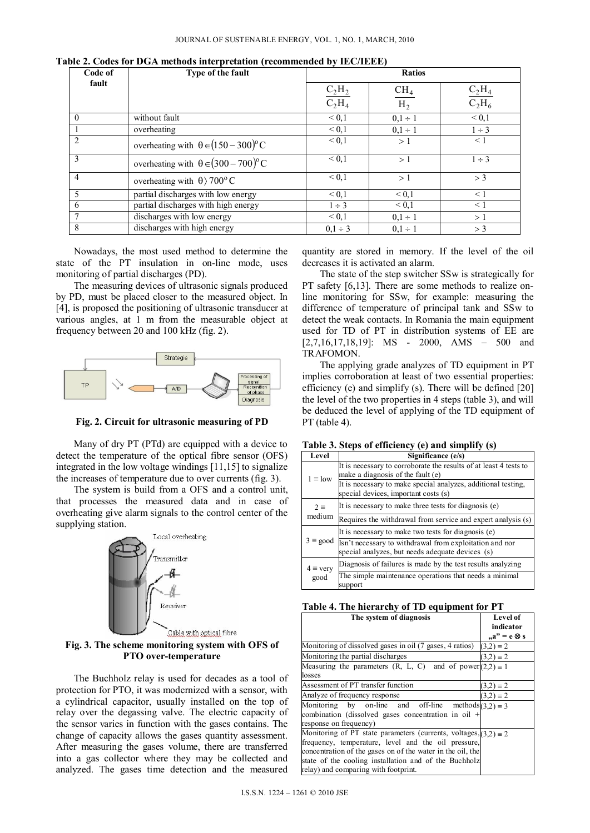| Code of        | Type of the fault                                   |                                           |                 |                                 |
|----------------|-----------------------------------------------------|-------------------------------------------|-----------------|---------------------------------|
| fault          |                                                     |                                           | CH <sub>4</sub> |                                 |
|                |                                                     | $\frac{\mathrm{C_2H_2}}{\mathrm{C_2H_4}}$ | H <sub>2</sub>  | $\frac{\rm C_2H_4}{\rm C_2H_6}$ |
| $\Omega$       | without fault                                       | ${}< 0,1$                                 | $0.1 \div 1$    | ${}< 0,1$                       |
|                | overheating                                         | ${}^{<}0,1$                               | $0.1 \div 1$    | $1 \div 3$                      |
| $\mathcal{D}$  | overheating with $\theta \in (150-300)^{\circ}C$    | ${}< 0.1$                                 | >1              | < 1                             |
| 3              | overheating with $\theta \in (300 - 700)^{\circ}$ C | ${}< 0.1$                                 | >1              | $1 \div 3$                      |
| $\overline{4}$ | overheating with $\theta$ / 700° C                  | ${}_{0.1}$                                | >1              | > 3                             |
| 5              | partial discharges with low energy                  | ${}_{0.1}$                                | ${}< 0.1$       | $\leq 1$                        |
| 6              | partial discharges with high energy                 | $1 \div 3$                                | ${}^{<}0,1$     | $\leq 1$                        |
| $\overline{7}$ | discharges with low energy                          | ${}_{0.1}$                                | $0.1 \div 1$    | >1                              |
| 8              | discharges with high energy                         | $0.1 \div 3$                              | $0.1 \div 1$    | > 3                             |

**Table 2. Codes for DGA methods interpretation (recommended by IEC/IEEE)** 

Nowadays, the most used method to determine the state of the PT insulation in on-line mode, uses monitoring of partial discharges (PD).

The measuring devices of ultrasonic signals produced by PD, must be placed closer to the measured object. In [4], is proposed the positioning of ultrasonic transducer at various angles, at 1 m from the measurable object at frequency between 20 and 100 kHz (fig. 2).



**Fig. 2. Circuit for ultrasonic measuring of PD** 

Many of dry PT (PTd) are equipped with a device to detect the temperature of the optical fibre sensor (OFS) integrated in the low voltage windings [11,15] to signalize the increases of temperature due to over currents (fig. 3).

The system is build from a OFS and a control unit, that processes the measured data and in case of overheating give alarm signals to the control center of the supplying station.



**Fig. 3. The scheme monitoring system with OFS of PTO over-temperature** 

The Buchholz relay is used for decades as a tool of protection for PTO, it was modernized with a sensor, with a cylindrical capacitor, usually installed on the top of relay over the degassing valve. The electric capacity of the sensor varies in function with the gases contains. The change of capacity allows the gases quantity assessment. After measuring the gases volume, there are transferred into a gas collector where they may be collected and analyzed. The gases time detection and the measured

quantity are stored in memory. If the level of the oil decreases it is activated an alarm.

The state of the step switcher SSw is strategically for PT safety [6,13]. There are some methods to realize online monitoring for SSw, for example: measuring the difference of temperature of principal tank and SSw to detect the weak contacts. In Romania the main equipment used for TD of PT in distribution systems of EE are [2,7,16,17,18,19]: MS - 2000, AMS - 500 and TRAFOMON.

The applying grade analyzes of TD equipment in PT implies corroboration at least of two essential properties: efficiency (e) and simplify (s). There will be defined [20] the level of the two properties in 4 steps (table 3), and will be deduced the level of applying of the TD equipment of PT (table 4).

|  |  |  | Table 3. Steps of efficiency (e) and simplify (s) |  |  |  |  |  |
|--|--|--|---------------------------------------------------|--|--|--|--|--|
|--|--|--|---------------------------------------------------|--|--|--|--|--|

| Level                  | Significance (e/s)                                                                      |
|------------------------|-----------------------------------------------------------------------------------------|
|                        | It is necessary to corroborate the results of at least 4 tests to                       |
| $1 \equiv$ low         | make a diagnosis of the fault (e)                                                       |
|                        | It is necessary to make special analyzes, additional testing,                           |
|                        | special devices, important costs (s)                                                    |
| $2 \equiv$             | It is necessary to make three tests for diagnosis (e)                                   |
| medium                 | Requires the withdrawal from service and expert analysis (s)                            |
|                        | It is necessary to make two tests for diagnosis (e)                                     |
|                        | $3 \equiv$ good $\sqrt{\text{lsn}'t}$ necessary to withdrawal from exploitation and nor |
|                        | special analyzes, but needs adequate devices (s)                                        |
| $4 \equiv \text{very}$ | Diagnosis of failures is made by the test results analyzing                             |
| good                   | The simple maintenance operations that needs a minimal                                  |
|                        | support                                                                                 |

|  |  |  |  | Table 4. The hierarchy of TD equipment for PT |  |  |
|--|--|--|--|-----------------------------------------------|--|--|
|--|--|--|--|-----------------------------------------------|--|--|

| The system of diagnosis                                                 | Level of            |
|-------------------------------------------------------------------------|---------------------|
|                                                                         | indicator           |
|                                                                         | $a'' = e \otimes s$ |
| Monitoring of dissolved gases in oil (7 gases, 4 ratios)                | $(3,2) \equiv 2$    |
| Monitoring the partial discharges                                       | $(3.2) \equiv 2$    |
| Measuring the parameters (R, L, C) and of power $(2,2) \equiv 1$        |                     |
| losses                                                                  |                     |
| Assessment of PT transfer function                                      | $(3.2) \equiv 2$    |
| Analyze of frequency response                                           | $(3,2) \equiv 2$    |
| Monitoring by on-line and off-line methods $(3.2) \equiv 3$             |                     |
| combination (dissolved gases concentration in oil $+$                   |                     |
| response on frequency)                                                  |                     |
| Monitoring of PT state parameters (currents, voltages, $(3,2) \equiv 2$ |                     |
| frequency, temperature, level and the oil pressure,                     |                     |
| concentration of the gases on of the water in the oil, the              |                     |
| state of the cooling installation and of the Buchholz                   |                     |
| relay) and comparing with footprint.                                    |                     |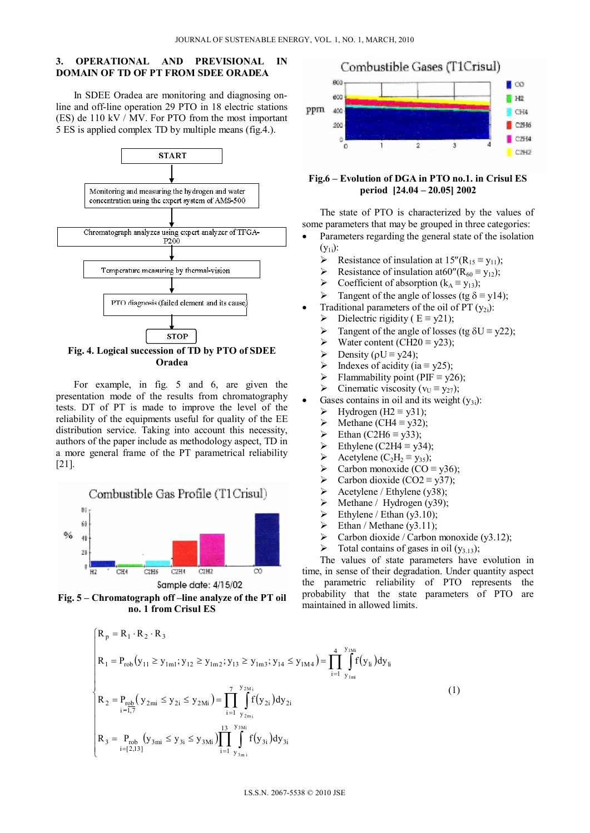# **3. OPERATIONAL AND PREVISIONAL IN DOMAIN OF TD OF PT FROM SDEE ORADEA**

In SDEE Oradea are monitoring and diagnosing online and off-line operation 29 PTO in 18 electric stations (ES) de 110 kV / MV. For PTO from the most important 5 ES is applied complex TD by multiple means (fig.4.).



**Oradea** 

For example, in fig. 5 and 6, are given the presentation mode of the results from chromatography tests. DT of PT is made to improve the level of the reliability of the equipments useful for quality of the EE distribution service. Taking into account this necessity, authors of the paper include as methodology aspect, TD in a more general frame of the PT parametrical reliability [21].

Combustible Gas Profile (T1 Crisul)







# **Fig.6 – Evolution of DGA in PTO no.1. in Crisul ES period [24.04 – 20.05] 2002**

The state of PTO is characterized by the values of some parameters that may be grouped in three categories:

- Parameters regarding the general state of the isolation  $(y_{1i})$ :
	- Resistance of insulation at  $15''(R_{15} \equiv y_{11});$
	- Resistance of insulation at  $60''(R_{60} \equiv y_{12});$ <br>
	Resistance of absorption  $(k_A \equiv y_{12});$
	- Coefficient of absorption ( $k_A = y_{13}$ );
	- $\triangleright$  Tangent of the angle of losses (tg δ ≡ y14);
	- Traditional parameters of the oil of PT (y<sub>2i</sub>):<br>
	> Dielectric rigidity (E = y21);
	- Dielectric rigidity ( $E = y21$ );
	- > Tangent of the angle of losses (tg  $\delta U = y22$ );<br>> Water content (CH20 = v23):
	- Water content (CH20  $\equiv$  y23);
	- Pensity ( $\rho U = \gamma 24$ );
	- $\triangleright$  Indexes of acidity (ia  $\equiv$  y25);
	- Flammability point (PIF = y26);<br>Finematic viscosity ( $v_{U} \equiv v_{27}$ ):
	- Cinematic viscosity ( $v_U \equiv v_{27}$ );
- Gases contains in oil and its weight  $(v_{3i})$ :
	- $\triangleright$  Hydrogen (H2 ≡ y31);
	- Arr Methane (CH4 ≡ y32);<br>Arr Methan (C2H6 ≡ y33);
	- Ethan (C2H6  $\equiv$  y33);
	- Ethylene (C2H4  $\equiv$  y34);
	- Acetylene (C<sub>2</sub>H<sub>2</sub> ≡ y<sub>35</sub>);<br>
	A Carbon monoxide (CO =
	- Carbon monoxide ( $CO \equiv y36$ );
	-
	- > Carbon dioxide (CO2 ≡ y37);<br>
	> Acetylene / Ethylene (y38); Acetylene / Ethylene (y38);
	- $\triangleright$  Methane / Hydrogen (y39);
	- Ethylene / Ethan (y3.10);<br>
	Ethan / Methane (y3.11):
	- Ethan / Methane (y3.11);
	- $\triangleright$  Carbon dioxide / Carbon monoxide (y3.12);
	- $\triangleright$  Total contains of gases in oil (y<sub>3.13</sub>);

The values of state parameters have evolution in time, in sense of their degradation. Under quantity aspect the parametric reliability of PTO represents the probability that the state parameters of PTO are maintained in allowed limits.

$$
\begin{cases}\nR_p = R_1 \cdot R_2 \cdot R_3 \\
R_1 = P_{\text{rob}}(y_{11} \ge y_{1m1}; y_{12} \ge y_{1m2}; y_{13} \ge y_{1m3}; y_{14} \le y_{1M4}) = \prod_{i=1}^{4} \int_{y_{1mi}}^{y_{1Ni}} f(y_{ii}) dy_{ii} \\
R_2 = P_{\text{rob}}(y_{2mi} \le y_{2i} \le y_{2Mi}) = \prod_{i=1}^{7} \int_{y_{2mi}}^{y_{2Ni}} f(y_{2i}) dy_{2i} \\
R_3 = P_{\text{rob}}(y_{3mi} \le y_{3i} \le y_{3Mi}) \prod_{i=1}^{13} \int_{y_{3mi}}^{y_{3Mi}} f(y_{3i}) dy_{3i}\n\end{cases} (1)
$$

#### I.S.S.N. 2067-5538 © 2010 JSE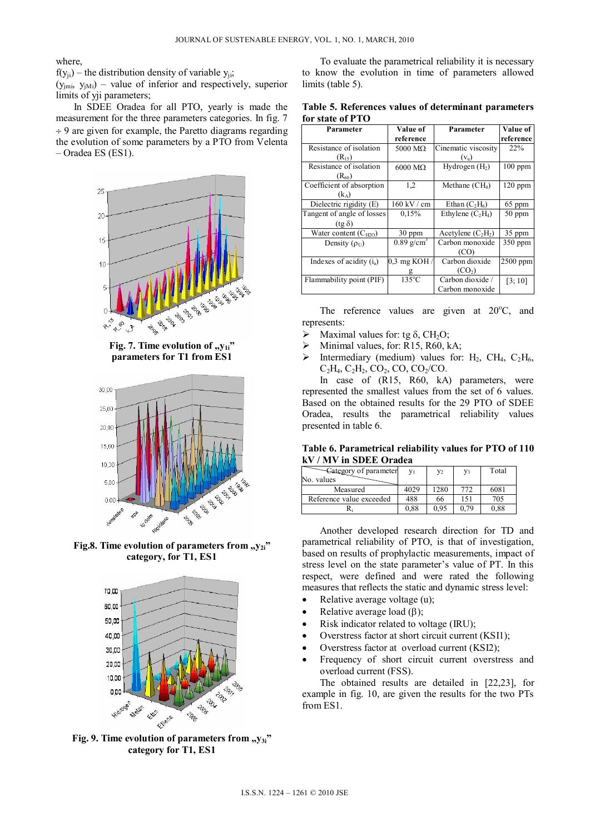where,

 $f(y_{ii})$  – the distribution density of variable  $y_{ii}$ ;

 $(y_{jmi}, y_{jMi})$  – value of inferior and respectively, superior limits of yji parameters;

In SDEE Oradea for all PTO, yearly is made the measurement for the three parameters categories. In fig. 7  $\div$  9 are given for example, the Paretto diagrams regarding the evolution of some parameters by a PTO from Velenta – Oradea ES (ES1).



Fig. 7. Time evolution of "y<sub>1i</sub>" **parameters for T1 from ES1** 



Fig.8. Time evolution of parameters from "y<sub>2i</sub>" **category, for T1, ES1**



Fig. 9. Time evolution of parameters from "y<sub>3i</sub>" **category for T1, ES1** 

To evaluate the parametrical reliability it is necessary to know the evolution in time of parameters allowed limits (table 5).

| Table 5. References values of determinant parameters |  |  |
|------------------------------------------------------|--|--|
| for state of PTO                                     |  |  |

| Parameter                            | Value of                 | Parameter            | <b>Value of</b> |
|--------------------------------------|--------------------------|----------------------|-----------------|
|                                      | reference                |                      | reference       |
| Resistance of isolation              | 5000 $M\Omega$           | Cinematic viscosity  | 22%             |
| $(R_{15})$                           |                          | $(v_u)$              |                 |
| Resistance of isolation              | $6000 \text{ M}\Omega$   | Hydrogen $(H2)$      | $100$ ppm       |
| $(R_{60})$                           |                          |                      |                 |
| Coefficient of absorption            | 1,2                      | Methane $(CH_4)$     | $120$ ppm       |
| $(k_A)$                              |                          |                      |                 |
| $\overline{Dielectric}$ rigidity (E) | 160 kV / cm              | Ethan $(C_2H_6)$     | 65 ppm          |
| Tangent of angle of losses           | 0.15%                    | Ethylene $(C_2H_4)$  | 50 ppm          |
| $(tg \delta)$                        |                          |                      |                 |
| Water content $(C_{H2O})$            | $30$ ppm                 | Acetylene $(C_2H_2)$ | 35 ppm          |
| Density $(\rho_U)$                   | $0.89$ g/cm <sup>3</sup> | Carbon monoxide      | $350$ ppm       |
|                                      |                          | (CO)                 |                 |
| Indexes of acidity $(i_a)$           | $0,3$ mg KOH /           | Carbon dioxide       | 2500 ppm        |
|                                      | g                        | (CO <sub>2</sub> )   |                 |
| Flammability point (PIF)             | $135^{\circ}$ C          | Carbon dioxide /     | [3; 10]         |
|                                      |                          | Carbon monoxide      |                 |

The reference values are given at  $20^{\circ}$ C, and represents:

- $\triangleright$  Maximal values for: tg  $\delta$ , CH<sub>2</sub>O;
- Minimal values, for: R15, R60, kA;
- $\triangleright$  Intermediary (medium) values for: H<sub>2</sub>, CH<sub>4</sub>, C<sub>2</sub>H<sub>6</sub>,  $C_2H_4$ ,  $C_2H_2$ ,  $CO_2$ ,  $CO$ ,  $CO_2/CO$ .

In case of (R15, R60, kA) parameters, were represented the smallest values from the set of 6 values. Based on the obtained results for the 29 PTO of SDEE Oradea, results the parametrical reliability values presented in table 6.

**Table 6. Parametrical reliability values for PTO of 110 kV / MV in SDEE Oradea** 

| Category of parameter    |      | V    | Y3   | Total |
|--------------------------|------|------|------|-------|
| No. values               |      |      |      |       |
| Measured                 | 4029 | 1280 | 772  | 6081  |
| Reference value exceeded | 488  | 66   | 151  | 705   |
|                          | 0.88 | 0.95 | 0.79 | 0.88  |

Another developed research direction for TD and parametrical reliability of PTO, is that of investigation, based on results of prophylactic measurements, impact of stress level on the state parameter's value of PT. In this respect, were defined and were rated the following measures that reflects the static and dynamic stress level:

- Relative average voltage (u);
- Relative average load  $(\beta)$ ;
- Risk indicator related to voltage (IRU);
- Overstress factor at short circuit current (KSI1);
- Overstress factor at overload current (KSI2);
- Frequency of short circuit current overstress and overload current (FSS).

The obtained results are detailed in [22,23], for example in fig. 10, are given the results for the two PTs from ES1.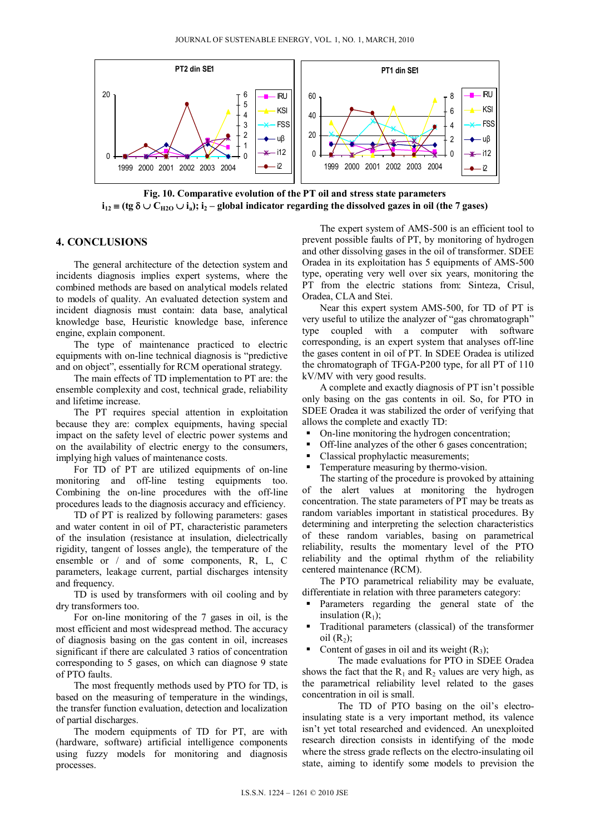

**Fig. 10. Comparative evolution of the PT oil and stress state parameters**   $i_{12}$   $\equiv$  (tg  $\delta$   $\cup$  C<sub>H2O</sub>  $\cup$  i<sub>a</sub>); i<sub>2</sub> – global indicator regarding the dissolved gazes in oil (the 7 gases)

## **4. CONCLUSIONS**

The general architecture of the detection system and incidents diagnosis implies expert systems, where the combined methods are based on analytical models related to models of quality. An evaluated detection system and incident diagnosis must contain: data base, analytical knowledge base, Heuristic knowledge base, inference engine, explain component.

The type of maintenance practiced to electric equipments with on-line technical diagnosis is "predictive and on object", essentially for RCM operational strategy.

The main effects of TD implementation to PT are: the ensemble complexity and cost, technical grade, reliability and lifetime increase.

The PT requires special attention in exploitation because they are: complex equipments, having special impact on the safety level of electric power systems and on the availability of electric energy to the consumers, implying high values of maintenance costs.

For TD of PT are utilized equipments of on-line monitoring and off-line testing equipments too. Combining the on-line procedures with the off-line procedures leads to the diagnosis accuracy and efficiency.

TD of PT is realized by following parameters: gases and water content in oil of PT, characteristic parameters of the insulation (resistance at insulation, dielectrically rigidity, tangent of losses angle), the temperature of the ensemble or / and of some components, R, L, C parameters, leakage current, partial discharges intensity and frequency.

TD is used by transformers with oil cooling and by dry transformers too.

For on-line monitoring of the 7 gases in oil, is the most efficient and most widespread method. The accuracy of diagnosis basing on the gas content in oil, increases significant if there are calculated 3 ratios of concentration corresponding to 5 gases, on which can diagnose 9 state of PTO faults.

The most frequently methods used by PTO for TD, is based on the measuring of temperature in the windings, the transfer function evaluation, detection and localization of partial discharges.

The modern equipments of TD for PT, are with (hardware, software) artificial intelligence components using fuzzy models for monitoring and diagnosis processes.

The expert system of AMS-500 is an efficient tool to prevent possible faults of PT, by monitoring of hydrogen and other dissolving gases in the oil of transformer. SDEE Oradea in its exploitation has 5 equipments of AMS-500 type, operating very well over six years, monitoring the PT from the electric stations from: Sinteza, Crisul, Oradea, CLA and Stei.

Near this expert system AMS-500, for TD of PT is very useful to utilize the analyzer of "gas chromatograph" type coupled with a computer with software corresponding, is an expert system that analyses off-line the gases content in oil of PT. In SDEE Oradea is utilized the chromatograph of TFGA-P200 type, for all PT of 110 kV/MV with very good results.

A complete and exactly diagnosis of PT isn't possible only basing on the gas contents in oil. So, for PTO in SDEE Oradea it was stabilized the order of verifying that allows the complete and exactly TD:

- On-line monitoring the hydrogen concentration;
- Off-line analyzes of the other 6 gases concentration;
- Classical prophylactic measurements;
- Temperature measuring by thermo-vision.

The starting of the procedure is provoked by attaining of the alert values at monitoring the hydrogen concentration. The state parameters of PT may be treats as random variables important in statistical procedures. By determining and interpreting the selection characteristics of these random variables, basing on parametrical reliability, results the momentary level of the PTO reliability and the optimal rhythm of the reliability centered maintenance (RCM).

The PTO parametrical reliability may be evaluate, differentiate in relation with three parameters category:

- Parameters regarding the general state of the insulation  $(R_1)$ ;
- Traditional parameters (classical) of the transformer oil  $(R_2)$ ;
- Content of gases in oil and its weight  $(R_3)$ ;

The made evaluations for PTO in SDEE Oradea shows the fact that the  $R_1$  and  $R_2$  values are very high, as the parametrical reliability level related to the gases concentration in oil is small.

The TD of PTO basing on the oil's electroinsulating state is a very important method, its valence isn't yet total researched and evidenced. An unexploited research direction consists in identifying of the mode where the stress grade reflects on the electro-insulating oil state, aiming to identify some models to prevision the